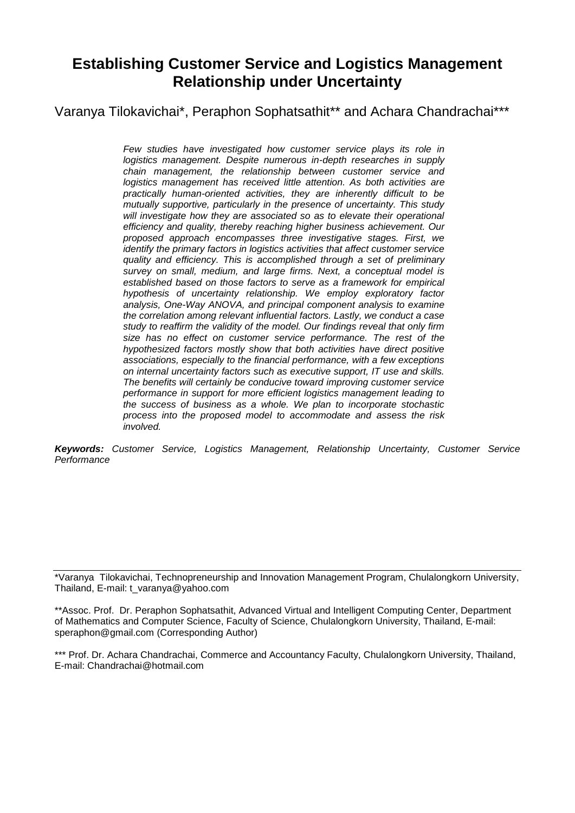# **Establishing Customer Service and Logistics Management Relationship under Uncertainty**

Varanya Tilokavichai\*, Peraphon Sophatsathit\*\* and Achara Chandrachai\*\*\*

*Few studies have investigated how customer service plays its role in logistics management. Despite numerous in-depth researches in supply chain management, the relationship between customer service and logistics management has received little attention. As both activities are practically human-oriented activities, they are inherently difficult to be mutually supportive, particularly in the presence of uncertainty. This study*  will investigate how they are associated so as to elevate their operational *efficiency and quality, thereby reaching higher business achievement. Our proposed approach encompasses three investigative stages. First, we identify the primary factors in logistics activities that affect customer service quality and efficiency. This is accomplished through a set of preliminary survey on small, medium, and large firms. Next, a conceptual model is established based on those factors to serve as a framework for empirical hypothesis of uncertainty relationship. We employ exploratory factor analysis, One-Way ANOVA, and principal component analysis to examine the correlation among relevant influential factors. Lastly, we conduct a case study to reaffirm the validity of the model. Our findings reveal that only firm size has no effect on customer service performance. The rest of the hypothesized factors mostly show that both activities have direct positive associations, especially to the financial performance, with a few exceptions on internal uncertainty factors such as executive support, IT use and skills. The benefits will certainly be conducive toward improving customer service performance in support for more efficient logistics management leading to the success of business as a whole. We plan to incorporate stochastic process into the proposed model to accommodate and assess the risk involved.*

*Keywords: Customer Service, Logistics Management, Relationship Uncertainty, Customer Service Performance*

\*Varanya Tilokavichai, Technopreneurship and Innovation Management Program, Chulalongkorn University, Thailand, E-mail: t\_varanya@yahoo.com

\*\*Assoc. Prof. Dr. Peraphon Sophatsathit, Advanced Virtual and Intelligent Computing Center, Department of Mathematics and Computer Science, Faculty of Science, Chulalongkorn University, Thailand, E-mail: speraphon@gmail.com (Corresponding Author)

\*\*\* Prof. Dr. Achara Chandrachai, Commerce and Accountancy Faculty, Chulalongkorn University, Thailand, E-mail: Chandrachai@hotmail.com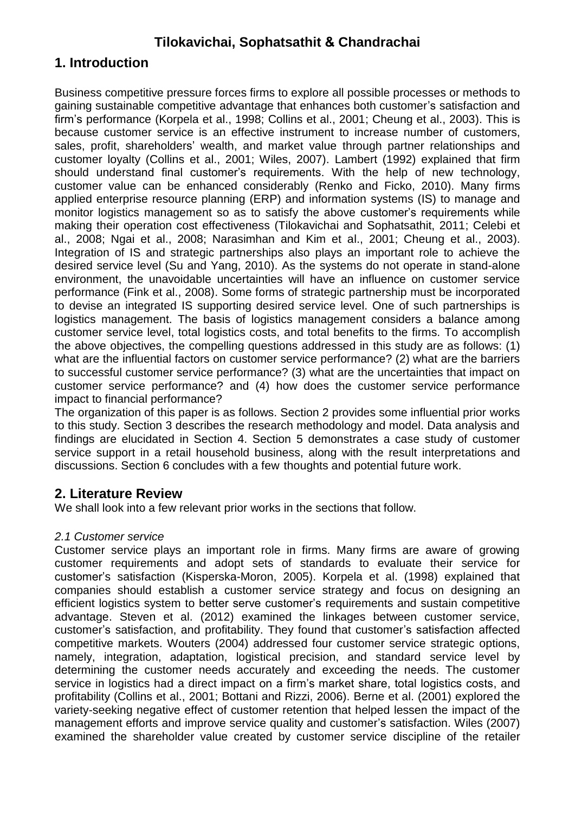#### **1. Introduction**

Business competitive pressure forces firms to explore all possible processes or methods to gaining sustainable competitive advantage that enhances both customer"s satisfaction and firm"s performance (Korpela et al., 1998; Collins et al., 2001; Cheung et al., 2003). This is because customer service is an effective instrument to increase number of customers, sales, profit, shareholders' wealth, and market value through partner relationships and customer loyalty (Collins et al., 2001; Wiles, 2007). Lambert (1992) explained that firm should understand final customer's requirements. With the help of new technology, customer value can be enhanced considerably (Renko and Ficko, 2010). Many firms applied enterprise resource planning (ERP) and information systems (IS) to manage and monitor logistics management so as to satisfy the above customer's requirements while making their operation cost effectiveness (Tilokavichai and Sophatsathit, 2011; Celebi et al., 2008; Ngai et al., 2008; Narasimhan and Kim et al., 2001; Cheung et al., 2003). Integration of IS and strategic partnerships also plays an important role to achieve the desired service level (Su and Yang, 2010). As the systems do not operate in stand-alone environment, the unavoidable uncertainties will have an influence on customer service performance (Fink et al., 2008). Some forms of strategic partnership must be incorporated to devise an integrated IS supporting desired service level. One of such partnerships is logistics management. The basis of logistics management considers a balance among customer service level, total logistics costs, and total benefits to the firms. To accomplish the above objectives, the compelling questions addressed in this study are as follows: (1) what are the influential factors on customer service performance? (2) what are the barriers to successful customer service performance? (3) what are the uncertainties that impact on customer service performance? and (4) how does the customer service performance impact to financial performance?

The organization of this paper is as follows. Section 2 provides some influential prior works to this study. Section 3 describes the research methodology and model. Data analysis and findings are elucidated in Section 4. Section 5 demonstrates a case study of customer service support in a retail household business, along with the result interpretations and discussions. Section 6 concludes with a few thoughts and potential future work.

#### **2. Literature Review**

We shall look into a few relevant prior works in the sections that follow.

#### *2.1 Customer service*

Customer service plays an important role in firms. Many firms are aware of growing customer requirements and adopt sets of standards to evaluate their service for customer"s satisfaction (Kisperska-Moron, 2005). Korpela et al. (1998) explained that companies should establish a customer service strategy and focus on designing an efficient logistics system to better serve customer"s requirements and sustain competitive advantage. Steven et al. (2012) examined the linkages between customer service, customer"s satisfaction, and profitability. They found that customer"s satisfaction affected competitive markets. Wouters (2004) addressed four customer service strategic options, namely, integration, adaptation, logistical precision, and standard service level by determining the customer needs accurately and exceeding the needs. The customer service in logistics had a direct impact on a firm's market share, total logistics costs, and profitability (Collins et al., 2001; Bottani and Rizzi, 2006). Berne et al. (2001) explored the variety-seeking negative effect of customer retention that helped lessen the impact of the management efforts and improve service quality and customer's satisfaction. Wiles (2007) examined the shareholder value created by customer service discipline of the retailer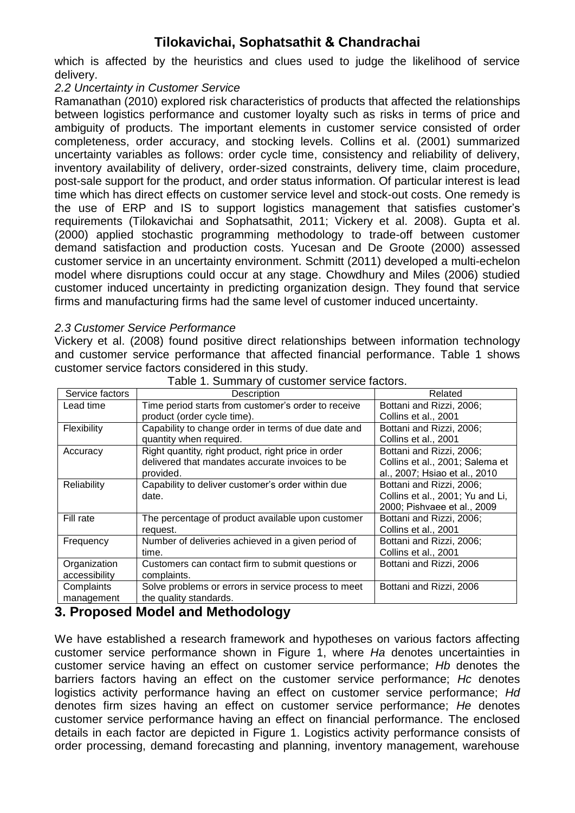which is affected by the heuristics and clues used to judge the likelihood of service delivery.

#### *2.2 Uncertainty in Customer Service*

Ramanathan (2010) explored risk characteristics of products that affected the relationships between logistics performance and customer loyalty such as risks in terms of price and ambiguity of products. The important elements in customer service consisted of order completeness, order accuracy, and stocking levels. Collins et al. (2001) summarized uncertainty variables as follows: order cycle time, consistency and reliability of delivery, inventory availability of delivery, order-sized constraints, delivery time, claim procedure, post-sale support for the product, and order status information. Of particular interest is lead time which has direct effects on customer service level and stock-out costs. One remedy is the use of ERP and IS to support logistics management that satisfies customer"s requirements (Tilokavichai and Sophatsathit, 2011; Vickery et al. 2008). Gupta et al. (2000) applied stochastic programming methodology to trade-off between customer demand satisfaction and production costs. Yucesan and De Groote (2000) assessed customer service in an uncertainty environment. Schmitt (2011) developed a multi-echelon model where disruptions could occur at any stage. Chowdhury and Miles (2006) studied customer induced uncertainty in predicting organization design. They found that service firms and manufacturing firms had the same level of customer induced uncertainty.

#### *2.3 Customer Service Performance*

Vickery et al. (2008) found positive direct relationships between information technology and customer service performance that affected financial performance. Table 1 shows customer service factors considered in this study.

| Service factors               | Description                                                                                                         | Related                                                                                      |
|-------------------------------|---------------------------------------------------------------------------------------------------------------------|----------------------------------------------------------------------------------------------|
| Lead time                     | Time period starts from customer's order to receive<br>product (order cycle time).                                  | Bottani and Rizzi, 2006;<br>Collins et al., 2001                                             |
| <b>Flexibility</b>            | Capability to change order in terms of due date and<br>quantity when required.                                      | Bottani and Rizzi, 2006;<br>Collins et al., 2001                                             |
| Accuracy                      | Right quantity, right product, right price in order<br>delivered that mandates accurate invoices to be<br>provided. | Bottani and Rizzi, 2006;<br>Collins et al., 2001; Salema et<br>al., 2007; Hsiao et al., 2010 |
| Reliability                   | Capability to deliver customer's order within due<br>date.                                                          | Bottani and Rizzi, 2006;<br>Collins et al., 2001; Yu and Li,<br>2000; Pishvaee et al., 2009  |
| Fill rate                     | The percentage of product available upon customer<br>request.                                                       | Bottani and Rizzi, 2006;<br>Collins et al., 2001                                             |
| Frequency                     | Number of deliveries achieved in a given period of<br>time.                                                         | Bottani and Rizzi, 2006;<br>Collins et al., 2001                                             |
| Organization<br>accessibility | Customers can contact firm to submit questions or<br>complaints.                                                    | Bottani and Rizzi, 2006                                                                      |
| Complaints<br>management      | Solve problems or errors in service process to meet<br>the quality standards.                                       | Bottani and Rizzi, 2006                                                                      |

Table 1. Summary of customer service factors.

#### **3. Proposed Model and Methodology**

We have established a research framework and hypotheses on various factors affecting customer service performance shown in Figure 1, where *Ha* denotes uncertainties in customer service having an effect on customer service performance; *Hb* denotes the barriers factors having an effect on the customer service performance; *Hc* denotes logistics activity performance having an effect on customer service performance; *Hd* denotes firm sizes having an effect on customer service performance; *He* denotes customer service performance having an effect on financial performance. The enclosed details in each factor are depicted in Figure 1. Logistics activity performance consists of order processing, demand forecasting and planning, inventory management, warehouse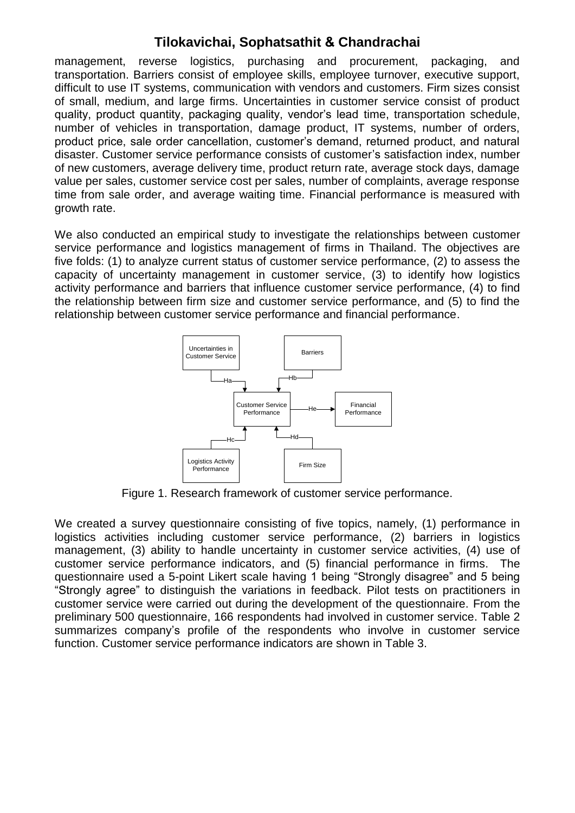management, reverse logistics, purchasing and procurement, packaging, and transportation. Barriers consist of employee skills, employee turnover, executive support, difficult to use IT systems, communication with vendors and customers. Firm sizes consist of small, medium, and large firms. Uncertainties in customer service consist of product quality, product quantity, packaging quality, vendor"s lead time, transportation schedule, number of vehicles in transportation, damage product, IT systems, number of orders, product price, sale order cancellation, customer"s demand, returned product, and natural disaster. Customer service performance consists of customer"s satisfaction index, number of new customers, average delivery time, product return rate, average stock days, damage value per sales, customer service cost per sales, number of complaints, average response time from sale order, and average waiting time. Financial performance is measured with growth rate.

We also conducted an empirical study to investigate the relationships between customer service performance and logistics management of firms in Thailand. The objectives are five folds: (1) to analyze current status of customer service performance, (2) to assess the capacity of uncertainty management in customer service, (3) to identify how logistics activity performance and barriers that influence customer service performance, (4) to find the relationship between firm size and customer service performance, and (5) to find the relationship between customer service performance and financial performance.



Figure 1. Research framework of customer service performance.

We created a survey questionnaire consisting of five topics, namely, (1) performance in logistics activities including customer service performance, (2) barriers in logistics management, (3) ability to handle uncertainty in customer service activities, (4) use of customer service performance indicators, and (5) financial performance in firms. The questionnaire used a 5-point Likert scale having 1 being "Strongly disagree" and 5 being "Strongly agree" to distinguish the variations in feedback. Pilot tests on practitioners in customer service were carried out during the development of the questionnaire. From the preliminary 500 questionnaire, 166 respondents had involved in customer service. Table 2 summarizes company"s profile of the respondents who involve in customer service function. Customer service performance indicators are shown in Table 3.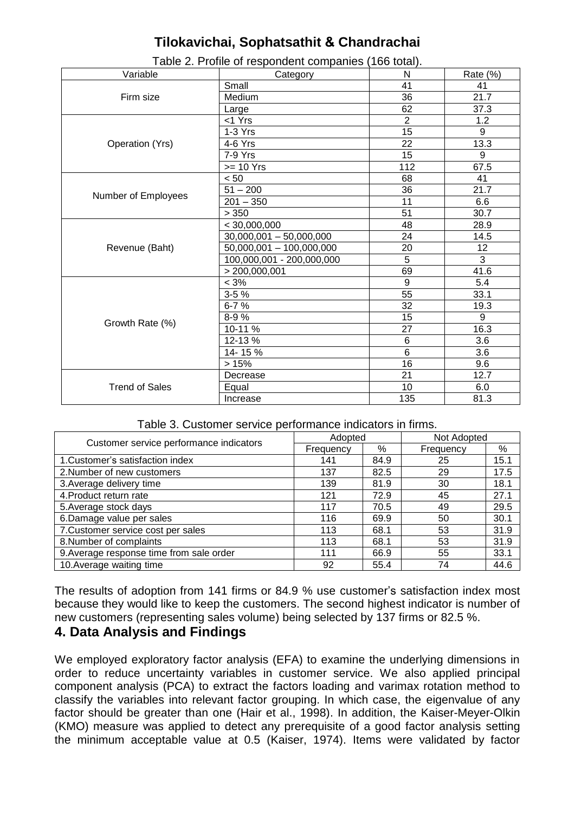| Variable              | . . <i>.</i><br>Category             | N               | Rate (%)       |
|-----------------------|--------------------------------------|-----------------|----------------|
|                       | Small                                | 41              | 41             |
| Firm size             | Medium                               | $\overline{36}$ | 21.7           |
|                       | Large                                | 62              | 37.3           |
|                       | <1 Yrs                               | $\overline{2}$  | 1.2            |
|                       | 1-3 Yrs                              | 15              | 9              |
| Operation (Yrs)       | 4-6 Yrs                              | 22              | 13.3           |
|                       | 7-9 Yrs                              | $\overline{15}$ | 9              |
|                       | $>= 10 Yrs$                          | 112             | 67.5           |
|                       | < 50                                 | 68              | 41             |
|                       | $51 - 200$                           | 36              | 21.7           |
| Number of Employees   | $201 - 350$                          | 11              | 6.6            |
|                       | > 350                                | 51              | 30.7           |
|                       | < 30,000,000                         | 48              | 28.9           |
|                       | $\overline{30,000,001} - 50,000,000$ | 24              | 14.5           |
| Revenue (Baht)        | 50,000,001 - 100,000,000             | 20              | 12             |
|                       | 100,000,001 - 200,000,000            | $\overline{5}$  | $\overline{3}$ |
|                       | > 200,000,001                        | 69              | 41.6           |
|                       | $< 3\%$                              | 9               | 5.4            |
|                       | $3 - 5%$                             | 55              | 33.1           |
|                       | $6 - 7%$                             | 32              | 19.3           |
| Growth Rate (%)       | 8-9%                                 | 15              | 9              |
|                       | $10-11%$                             | 27              | 16.3           |
|                       | 12-13%                               | $\,6$           | 3.6            |
|                       | 14-15%                               | $\overline{6}$  | 3.6            |
|                       | >15%                                 | $\overline{16}$ | 9.6            |
|                       | Decrease                             | 21              | 12.7           |
| <b>Trend of Sales</b> | Equal                                | 10              | 6.0            |
|                       | Increase                             | 135             | 81.3           |

Table 2. Profile of respondent companies (166 total).

| Table 3. Customer service performance indicators in firms. |  |  |  |  |
|------------------------------------------------------------|--|--|--|--|
|------------------------------------------------------------|--|--|--|--|

|                                          | Adopted   |      | Not Adopted |      |
|------------------------------------------|-----------|------|-------------|------|
| Customer service performance indicators  | Frequency | %    | Frequency   | %    |
| 1. Customer's satisfaction index         | 141       | 84.9 | 25          | 15.1 |
| 2. Number of new customers               | 137       | 82.5 | 29          | 17.5 |
| 3. Average delivery time                 | 139       | 81.9 | 30          | 18.1 |
| 4. Product return rate                   | 121       | 72.9 | 45          | 27.1 |
| 5. Average stock days                    | 117       | 70.5 | 49          | 29.5 |
| 6.Damage value per sales                 | 116       | 69.9 | 50          | 30.1 |
| 7. Customer service cost per sales       | 113       | 68.1 | 53          | 31.9 |
| 8. Number of complaints                  | 113       | 68.1 | 53          | 31.9 |
| 9. Average response time from sale order | 111       | 66.9 | 55          | 33.1 |
| 10. Average waiting time                 | 92        | 55.4 | 74          | 44.6 |

The results of adoption from 141 firms or 84.9 % use customer's satisfaction index most because they would like to keep the customers. The second highest indicator is number of new customers (representing sales volume) being selected by 137 firms or 82.5 %.

#### **4. Data Analysis and Findings**

We employed exploratory factor analysis (EFA) to examine the underlying dimensions in order to reduce uncertainty variables in customer service. We also applied principal component analysis (PCA) to extract the factors loading and varimax rotation method to classify the variables into relevant factor grouping. In which case, the eigenvalue of any factor should be greater than one (Hair et al., 1998). In addition, the Kaiser-Meyer-Olkin (KMO) measure was applied to detect any prerequisite of a good factor analysis setting the minimum acceptable value at 0.5 (Kaiser, 1974). Items were validated by factor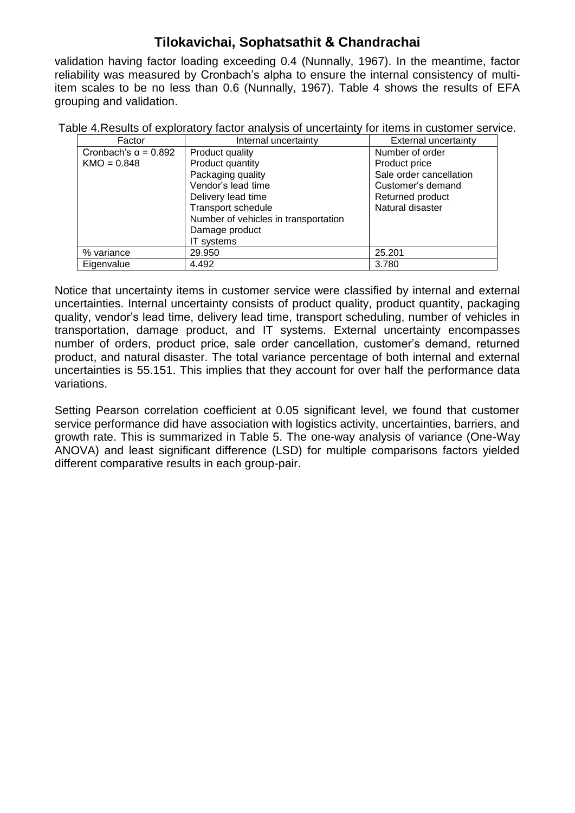validation having factor loading exceeding 0.4 (Nunnally, 1967). In the meantime, factor reliability was measured by Cronbach"s alpha to ensure the internal consistency of multiitem scales to be no less than 0.6 (Nunnally, 1967). Table 4 shows the results of EFA grouping and validation.

Table 4.Results of exploratory factor analysis of uncertainty for items in customer service.

| Factor                      | Internal uncertainty                 | <b>External uncertainty</b> |
|-----------------------------|--------------------------------------|-----------------------------|
| Cronbach's $\alpha$ = 0.892 | Product quality                      | Number of order             |
| $KMO = 0.848$               | Product quantity                     | Product price               |
|                             | Packaging quality                    | Sale order cancellation     |
|                             | Vendor's lead time                   | Customer's demand           |
|                             | Delivery lead time                   | Returned product            |
|                             | <b>Transport schedule</b>            | Natural disaster            |
|                             | Number of vehicles in transportation |                             |
|                             | Damage product                       |                             |
|                             | IT systems                           |                             |
| % variance                  | 29.950                               | 25.201                      |
| Eigenvalue                  | 4.492                                | 3.780                       |

Notice that uncertainty items in customer service were classified by internal and external uncertainties. Internal uncertainty consists of product quality, product quantity, packaging quality, vendor"s lead time, delivery lead time, transport scheduling, number of vehicles in transportation, damage product, and IT systems. External uncertainty encompasses number of orders, product price, sale order cancellation, customer"s demand, returned product, and natural disaster. The total variance percentage of both internal and external uncertainties is 55.151. This implies that they account for over half the performance data variations.

Setting Pearson correlation coefficient at 0.05 significant level, we found that customer service performance did have association with logistics activity, uncertainties, barriers, and growth rate. This is summarized in Table 5. The one-way analysis of variance (One-Way ANOVA) and least significant difference (LSD) for multiple comparisons factors yielded different comparative results in each group-pair.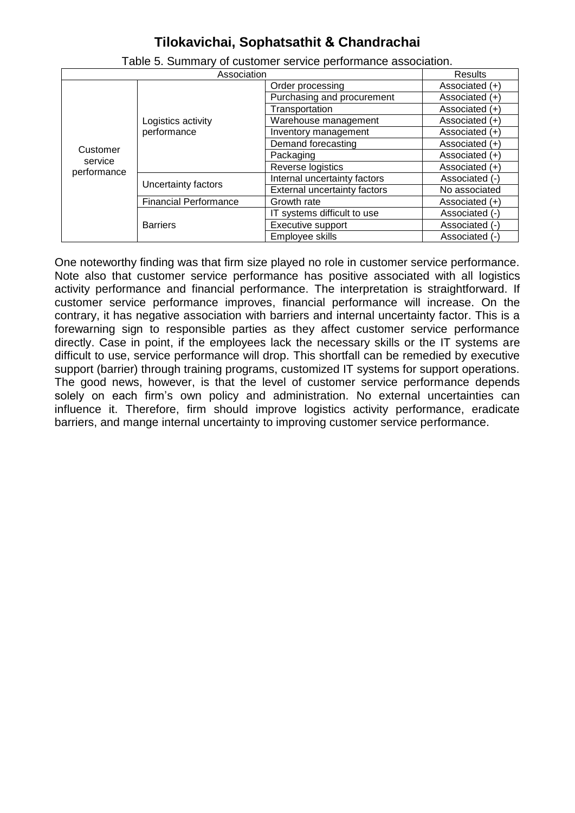| Association |                              | Results                             |                  |
|-------------|------------------------------|-------------------------------------|------------------|
|             |                              | Order processing                    | Associated (+)   |
|             |                              | Purchasing and procurement          | Associated (+)   |
|             |                              | Transportation                      | Associated (+)   |
|             | Logistics activity           | Warehouse management                | Associated (+)   |
|             | performance                  | Inventory management                | Associated (+)   |
| Customer    |                              | Demand forecasting                  | Associated (+)   |
| service     |                              | Packaging                           | Associated $(+)$ |
| performance |                              | Reverse logistics                   | Associated (+)   |
|             | Uncertainty factors          | Internal uncertainty factors        | Associated (-)   |
|             |                              | <b>External uncertainty factors</b> | No associated    |
|             | <b>Financial Performance</b> | Growth rate                         | Associated $(+)$ |
|             | <b>Barriers</b>              | IT systems difficult to use         | Associated (-)   |
|             |                              | Executive support                   | Associated (-)   |
|             |                              | Employee skills                     | Associated (-)   |

Table 5. Summary of customer service performance association.

One noteworthy finding was that firm size played no role in customer service performance. Note also that customer service performance has positive associated with all logistics activity performance and financial performance. The interpretation is straightforward. If customer service performance improves, financial performance will increase. On the contrary, it has negative association with barriers and internal uncertainty factor. This is a forewarning sign to responsible parties as they affect customer service performance directly. Case in point, if the employees lack the necessary skills or the IT systems are difficult to use, service performance will drop. This shortfall can be remedied by executive support (barrier) through training programs, customized IT systems for support operations. The good news, however, is that the level of customer service performance depends solely on each firm's own policy and administration. No external uncertainties can influence it. Therefore, firm should improve logistics activity performance, eradicate barriers, and mange internal uncertainty to improving customer service performance.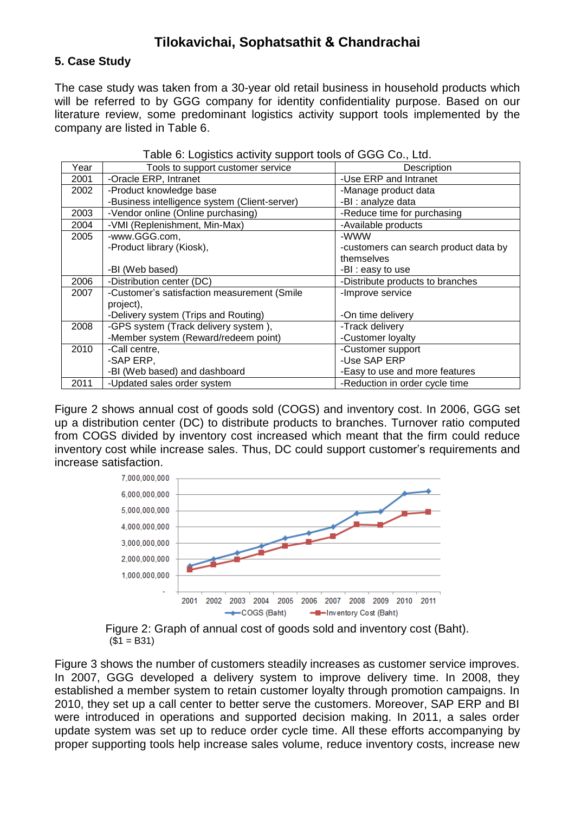#### **5. Case Study**

The case study was taken from a 30-year old retail business in household products which will be referred to by GGG company for identity confidentiality purpose. Based on our literature review, some predominant logistics activity support tools implemented by the company are listed in Table 6.

| Year | Tools to support customer service             | Description                           |
|------|-----------------------------------------------|---------------------------------------|
| 2001 | -Oracle ERP, Intranet                         | -Use ERP and Intranet                 |
| 2002 | -Product knowledge base                       | -Manage product data                  |
|      | -Business intelligence system (Client-server) | -BI : analyze data                    |
| 2003 | -Vendor online (Online purchasing)            | -Reduce time for purchasing           |
| 2004 | -VMI (Replenishment, Min-Max)                 | -Available products                   |
| 2005 | -www.GGG.com,                                 | -WWW                                  |
|      | -Product library (Kiosk),                     | -customers can search product data by |
|      |                                               | themselves                            |
|      | -BI (Web based)                               | -BI : easy to use                     |
| 2006 | -Distribution center (DC)                     | -Distribute products to branches      |
| 2007 | -Customer's satisfaction measurement (Smile   | -Improve service                      |
|      | project),                                     |                                       |
|      | -Delivery system (Trips and Routing)          | -On time delivery                     |
| 2008 | -GPS system (Track delivery system),          | -Track delivery                       |
|      | -Member system (Reward/redeem point)          | -Customer loyalty                     |
| 2010 | -Call centre,                                 | -Customer support                     |
|      | -SAP ERP.                                     | -Use SAP ERP                          |
|      | -BI (Web based) and dashboard                 | -Easy to use and more features        |
| 2011 | -Updated sales order system                   | -Reduction in order cycle time        |

| Table 6: Logistics activity support tools of GGG Co., Ltd. |  |
|------------------------------------------------------------|--|
|                                                            |  |

Figure 2 shows annual cost of goods sold (COGS) and inventory cost. In 2006, GGG set up a distribution center (DC) to distribute products to branches. Turnover ratio computed from COGS divided by inventory cost increased which meant that the firm could reduce inventory cost while increase sales. Thus, DC could support customer"s requirements and increase satisfaction.



Figure 2: Graph of annual cost of goods sold and inventory cost (Baht).  $($1 = B31)$ 

Figure 3 shows the number of customers steadily increases as customer service improves. In 2007, GGG developed a delivery system to improve delivery time. In 2008, they established a member system to retain customer loyalty through promotion campaigns. In 2010, they set up a call center to better serve the customers. Moreover, SAP ERP and BI were introduced in operations and supported decision making. In 2011, a sales order update system was set up to reduce order cycle time. All these efforts accompanying by proper supporting tools help increase sales volume, reduce inventory costs, increase new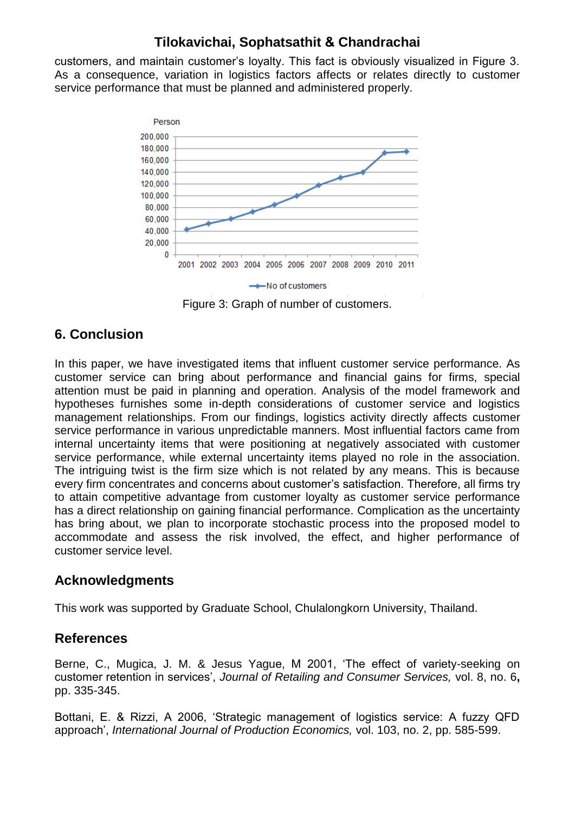customers, and maintain customer"s loyalty. This fact is obviously visualized in Figure 3. As a consequence, variation in logistics factors affects or relates directly to customer service performance that must be planned and administered properly.



Figure 3: Graph of number of customers.

## **6. Conclusion**

In this paper, we have investigated items that influent customer service performance. As customer service can bring about performance and financial gains for firms, special attention must be paid in planning and operation. Analysis of the model framework and hypotheses furnishes some in-depth considerations of customer service and logistics management relationships. From our findings, logistics activity directly affects customer service performance in various unpredictable manners. Most influential factors came from internal uncertainty items that were positioning at negatively associated with customer service performance, while external uncertainty items played no role in the association. The intriguing twist is the firm size which is not related by any means. This is because every firm concentrates and concerns about customer"s satisfaction. Therefore, all firms try to attain competitive advantage from customer loyalty as customer service performance has a direct relationship on gaining financial performance. Complication as the uncertainty has bring about, we plan to incorporate stochastic process into the proposed model to accommodate and assess the risk involved, the effect, and higher performance of customer service level.

### **Acknowledgments**

This work was supported by Graduate School, Chulalongkorn University, Thailand.

### **References**

Berne, C., Mugica, J. M. & Jesus Yague, M 2001, "The effect of variety-seeking on customer retention in services", *Journal of Retailing and Consumer Services,* vol. 8, no. 6**,** pp. 335-345.

Bottani, E. & Rizzi, A 2006, "Strategic management of logistics service: A fuzzy QFD approach", *International Journal of Production Economics,* vol. 103, no. 2, pp. 585-599.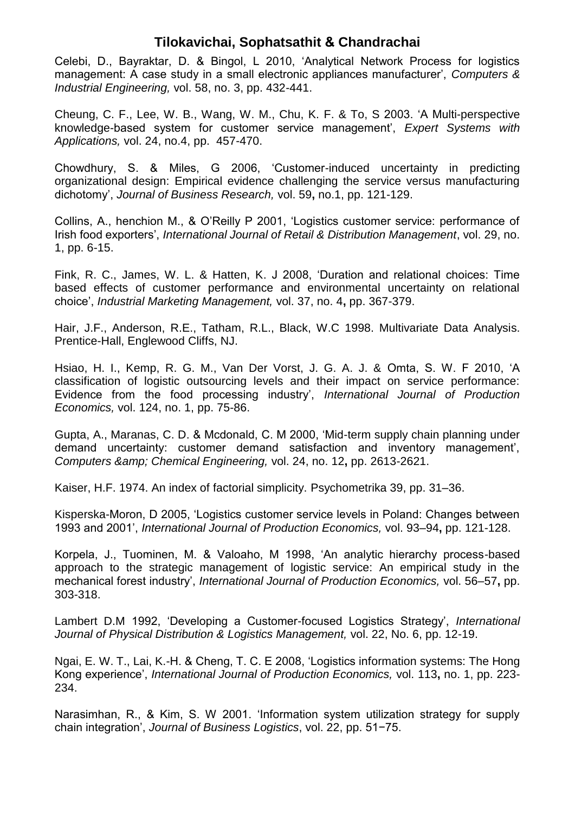Celebi, D., Bayraktar, D. & Bingol, L 2010, "Analytical Network Process for logistics management: A case study in a small electronic appliances manufacturer", *Computers & Industrial Engineering,* vol. 58, no. 3, pp. 432-441.

Cheung, C. F., Lee, W. B., Wang, W. M., Chu, K. F. & To, S 2003. "A Multi-perspective knowledge-based system for customer service management", *Expert Systems with Applications,* vol. 24, no.4, pp. 457-470.

Chowdhury, S. & Miles, G 2006, "Customer-induced uncertainty in predicting organizational design: Empirical evidence challenging the service versus manufacturing dichotomy", *Journal of Business Research,* vol. 59**,** no.1, pp. 121-129.

Collins, A., henchion M., & O"Reilly P 2001, "Logistics customer service: performance of Irish food exporters", *International Journal of Retail & Distribution Management*, vol. 29, no. 1, pp. 6-15.

Fink, R. C., James, W. L. & Hatten, K. J 2008, "Duration and relational choices: Time based effects of customer performance and environmental uncertainty on relational choice", *Industrial Marketing Management,* vol. 37, no. 4**,** pp. 367-379.

Hair, J.F., Anderson, R.E., Tatham, R.L., Black, W.C 1998. Multivariate Data Analysis. Prentice-Hall, Englewood Cliffs, NJ.

Hsiao, H. I., Kemp, R. G. M., Van Der Vorst, J. G. A. J. & Omta, S. W. F 2010, "A classification of logistic outsourcing levels and their impact on service performance: Evidence from the food processing industry", *International Journal of Production Economics,* vol. 124, no. 1, pp. 75-86.

Gupta, A., Maranas, C. D. & Mcdonald, C. M 2000, "Mid-term supply chain planning under demand uncertainty: customer demand satisfaction and inventory management", *Computers & Chemical Engineering,* vol. 24, no. 12**,** pp. 2613-2621.

Kaiser, H.F. 1974. An index of factorial simplicity. Psychometrika 39, pp. 31–36.

Kisperska-Moron, D 2005, "Logistics customer service levels in Poland: Changes between 1993 and 2001", *International Journal of Production Economics,* vol. 93–94**,** pp. 121-128.

Korpela, J., Tuominen, M. & Valoaho, M 1998, "An analytic hierarchy process-based approach to the strategic management of logistic service: An empirical study in the mechanical forest industry", *International Journal of Production Economics,* vol. 56–57**,** pp. 303-318.

Lambert D.M 1992, "Developing a Customer-focused Logistics Strategy", *International Journal of Physical Distribution & Logistics Management,* vol. 22, No. 6, pp. 12-19.

Ngai, E. W. T., Lai, K.-H. & Cheng, T. C. E 2008, "Logistics information systems: The Hong Kong experience", *International Journal of Production Economics,* vol. 113**,** no. 1, pp. 223- 234.

Narasimhan, R., & Kim, S. W 2001. "Information system utilization strategy for supply chain integration", *Journal of Business Logistics*, vol. 22, pp. 51−75.